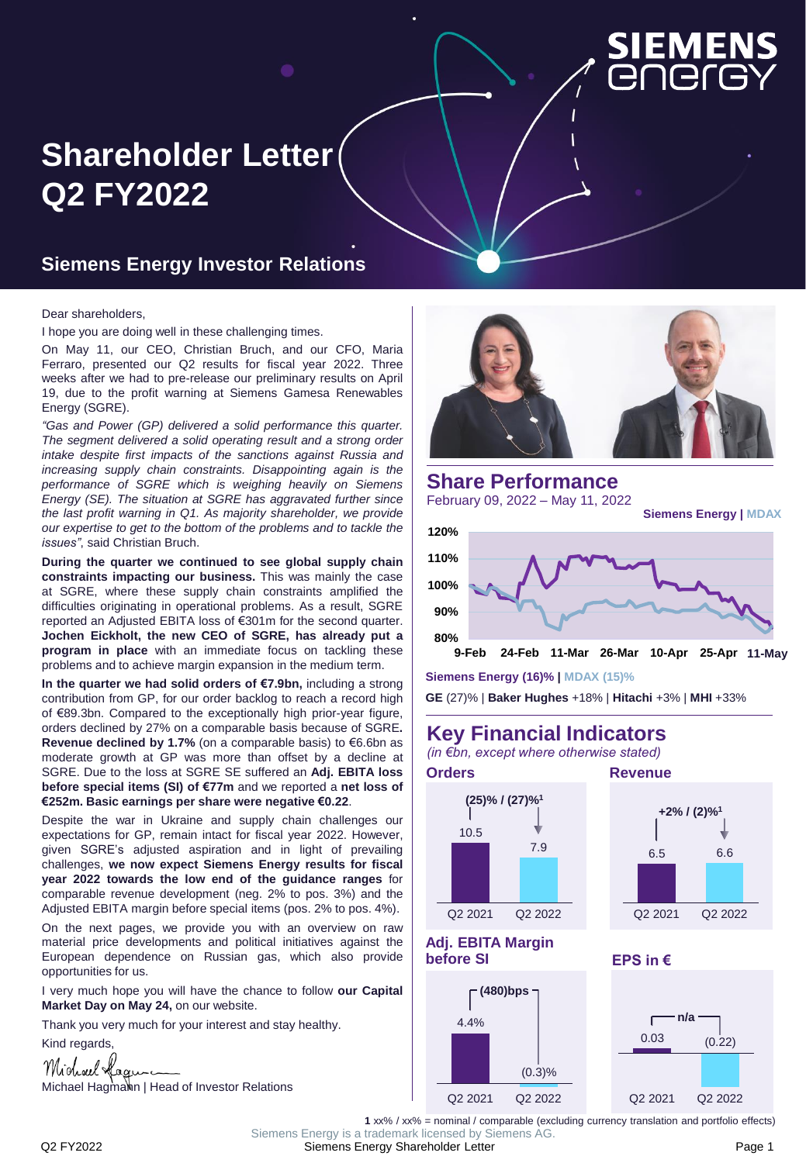

# **Shareholder Letter Q2 FY2022**

#### **Siemens Energy Investor Relations**

#### Dear shareholders,

I hope you are doing well in these challenging times.

On May 11, our CEO, Christian Bruch, and our CFO, Maria Ferraro, presented our Q2 results for fiscal year 2022. Three weeks after we had to pre-release our preliminary results on April 19, due to the profit warning at Siemens Gamesa Renewables Energy (SGRE).

*"Gas and Power (GP) delivered a solid performance this quarter. The segment delivered a solid operating result and a strong order intake despite first impacts of the sanctions against Russia and increasing supply chain constraints. Disappointing again is the performance of SGRE which is weighing heavily on Siemens Energy (SE). The situation at SGRE has aggravated further since the last profit warning in Q1. As majority shareholder, we provide our expertise to get to the bottom of the problems and to tackle the issues"*, said Christian Bruch.

**During the quarter we continued to see global supply chain constraints impacting our business.** This was mainly the case at SGRE, where these supply chain constraints amplified the difficulties originating in operational problems. As a result, SGRE reported an Adjusted EBITA loss of €301m for the second quarter. **Jochen Eickholt, the new CEO of SGRE, has already put a program in place** with an immediate focus on tackling these problems and to achieve margin expansion in the medium term.

**In the quarter we had solid orders of €7.9bn,** including a strong contribution from GP, for our order backlog to reach a record high of €89.3bn. Compared to the exceptionally high prior-year figure, orders declined by 27% on a comparable basis because of SGRE**. Revenue declined by 1.7%** (on a comparable basis) to €6.6bn as moderate growth at GP was more than offset by a decline at SGRE. Due to the loss at SGRE SE suffered an **Adj. EBITA loss before special items (SI) of €77m** and we reported a **net loss of €252m. Basic earnings per share were negative €0.22**.

Despite the war in Ukraine and supply chain challenges our expectations for GP, remain intact for fiscal year 2022. However, given SGRE's adjusted aspiration and in light of prevailing challenges, **we now expect Siemens Energy results for fiscal year 2022 towards the low end of the guidance ranges** for comparable revenue development (neg. 2% to pos. 3%) and the Adjusted EBITA margin before special items (pos. 2% to pos. 4%).

On the next pages, we provide you with an overview on raw material price developments and political initiatives against the European dependence on Russian gas, which also provide opportunities for us.

I very much hope you will have the chance to follow **our Capital Market Day on May 24,** on our website.

Thank you very much for your interest and stay healthy.

Kind regards,







**Siemens Energy (16)% | MDAX (15)%**

**GE** (27)% | **Baker Hughes** +18% | **Hitachi** +3% | **MHI** +33%

**9-Feb 24-Feb 11-Mar 26-Mar 10-Apr 25-Apr 1110-May -May**

#### **Key Financial Indicators**

*(in €bn, except where otherwise stated)*

**80%**







#### **Adj. EBITA Margin before SI**



**EPS in €**



**1** xx% / xx% = nominal / comparable (excluding currency translation and portfolio effects)

Q2 FY2022 Siemens Energy Shareholder Letter Page 1 Siemens Energy is a trademark licensed by Siemens AG.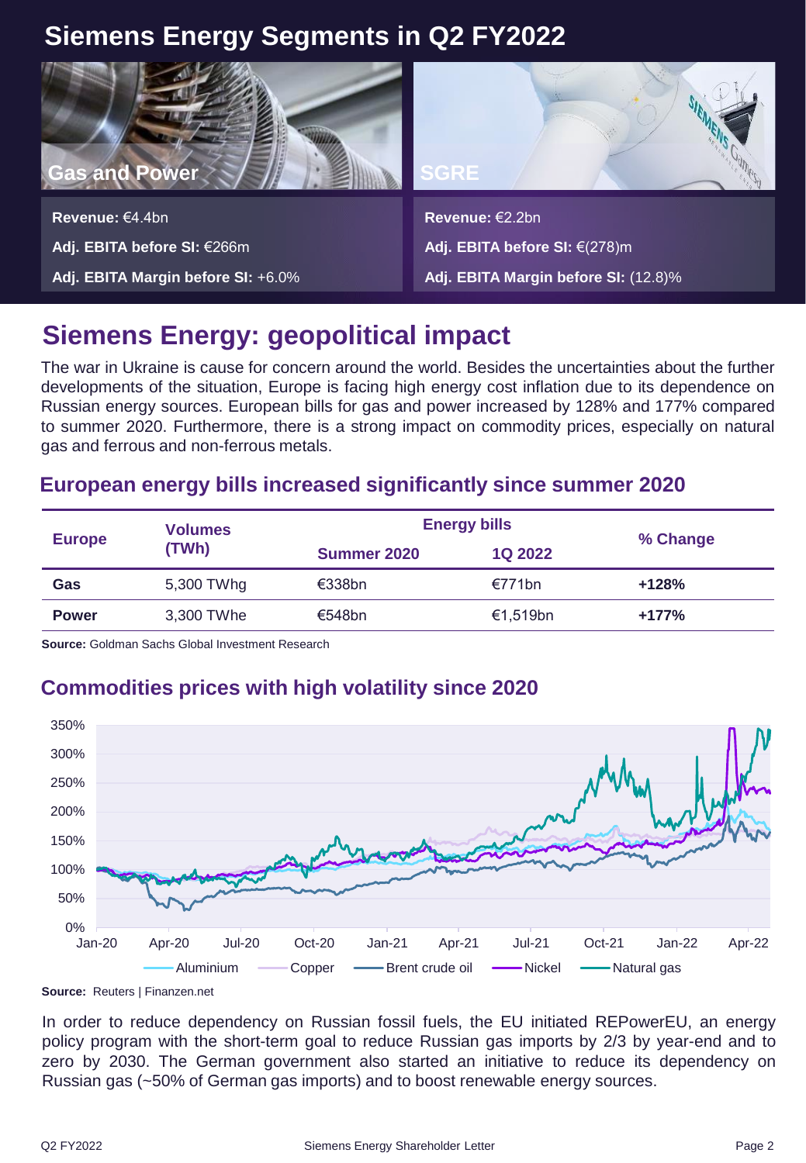## **Siemens Energy Segments in Q2 FY2022**



**Revenue:** €4.4bn **Adj. EBITA before SI:** €266m **Adj. EBITA Margin before SI:** +6.0%



**Revenue:** €2.2bn **Adj. EBITA before SI:** €(278)m

**Adj. EBITA Margin before SI:** (12.8)%

## **Siemens Energy: geopolitical impact**

The war in Ukraine is cause for concern around the world. Besides the uncertainties about the further developments of the situation, Europe is facing high energy cost inflation due to its dependence on Russian energy sources. European bills for gas and power increased by 128% and 177% compared to summer 2020. Furthermore, there is a strong impact on commodity prices, especially on natural gas and ferrous and non-ferrous metals.

#### **European energy bills increased significantly since summer 2020**

|               | <b>Volumes</b><br>(TWh) | <b>Energy bills</b> |                |          |
|---------------|-------------------------|---------------------|----------------|----------|
| <b>Europe</b> |                         | Summer 2020         | <b>1Q 2022</b> | % Change |
| Gas           | 5,300 TWhg              | $\epsilon$ 338bn    | €771bn         | $+128%$  |
| <b>Power</b>  | 3,300 TWhe              | €548bn              | €1.519bn       | $+177%$  |

**Source:** Goldman Sachs Global Investment Research

## **Commodities prices with high volatility since 2020**



**Source:** Reuters | Finanzen.net

In order to reduce dependency on Russian fossil fuels, the EU initiated REPowerEU, an energy policy program with the short-term goal to reduce Russian gas imports by 2/3 by year-end and to zero by 2030. The German government also started an initiative to reduce its dependency on Russian gas (~50% of German gas imports) and to boost renewable energy sources.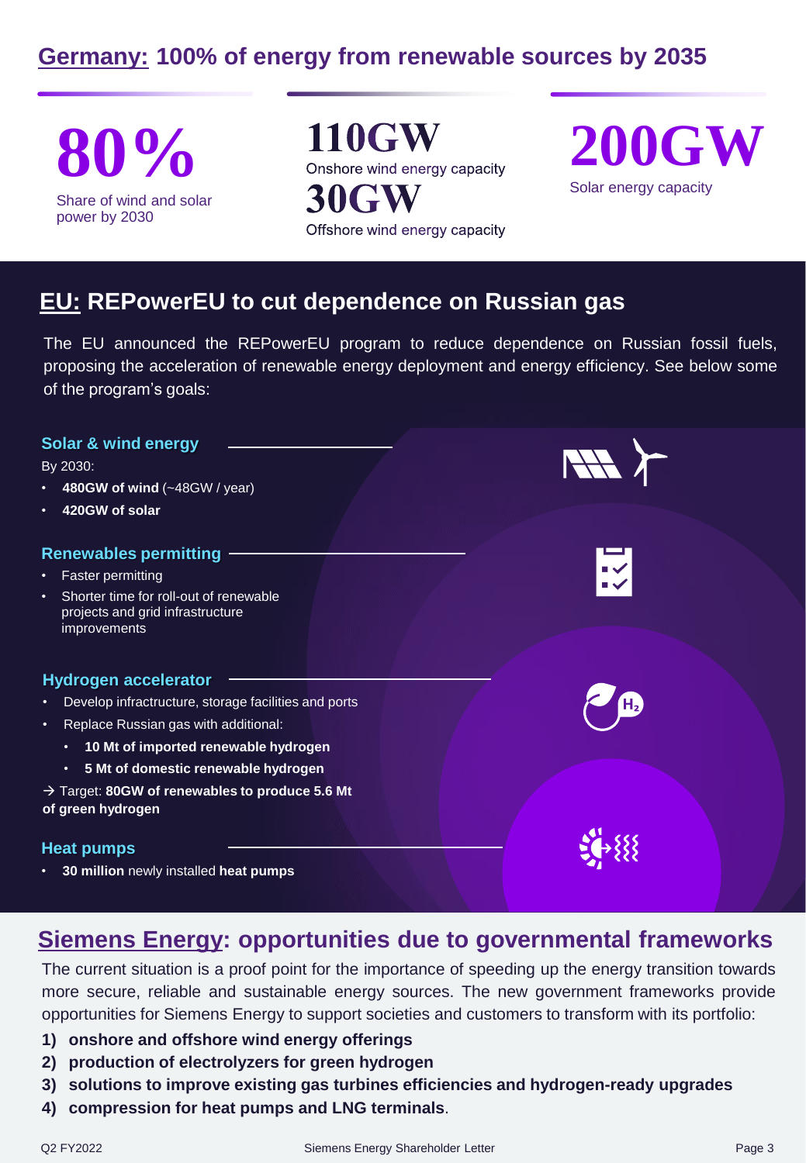## **Germany: 100% of energy from renewable sources by 2035**

Share of wind and solar power by 2030

**80% 110GW**<br> **200GW**<br>
Share of wind and solar **30GW**<br> **30GW**<br> **200GW**<br>
Solar energy capacity Offshore wind energy capacity



### **EU: REPowerEU to cut dependence on Russian gas**

The EU announced the REPowerEU program to reduce dependence on Russian fossil fuels, proposing the acceleration of renewable energy deployment and energy efficiency. See below some of the program's goals:

| Solar & wind energy<br>By 2030:<br>480GW of wind (~48GW / year)<br>٠                                    | HAY Y                 |  |
|---------------------------------------------------------------------------------------------------------|-----------------------|--|
| 420GW of solar<br>٠                                                                                     |                       |  |
| <b>Renewables permitting</b>                                                                            |                       |  |
| Faster permitting<br>٠                                                                                  | $\mathbb{I}\setminus$ |  |
| Shorter time for roll-out of renewable<br>$\bullet$<br>projects and grid infrastructure<br>improvements |                       |  |
| <b>Hydrogen accelerator</b>                                                                             |                       |  |
| Develop infractructure, storage facilities and ports<br>$\bullet$                                       |                       |  |
| Replace Russian gas with additional:<br>٠                                                               |                       |  |
| 10 Mt of imported renewable hydrogen<br>٠                                                               |                       |  |
| 5 Mt of domestic renewable hydrogen<br>$\bullet$                                                        |                       |  |
| $\rightarrow$ Target: 80GW of renewables to produce 5.6 Mt<br>of green hydrogen                         |                       |  |
| <b>Heat pumps</b>                                                                                       |                       |  |
| 30 million newly installed heat pumps<br>٠                                                              |                       |  |

#### **Siemens Energy: opportunities due to governmental frameworks**

The current situation is a proof point for the importance of speeding up the energy transition towards more secure, reliable and sustainable energy sources. The new government frameworks provide opportunities for Siemens Energy to support societies and customers to transform with its portfolio:

- **1) onshore and offshore wind energy offerings**
- **2) production of electrolyzers for green hydrogen**
- **3) solutions to improve existing gas turbines efficiencies and hydrogen-ready upgrades**
- **4) compression for heat pumps and LNG terminals**.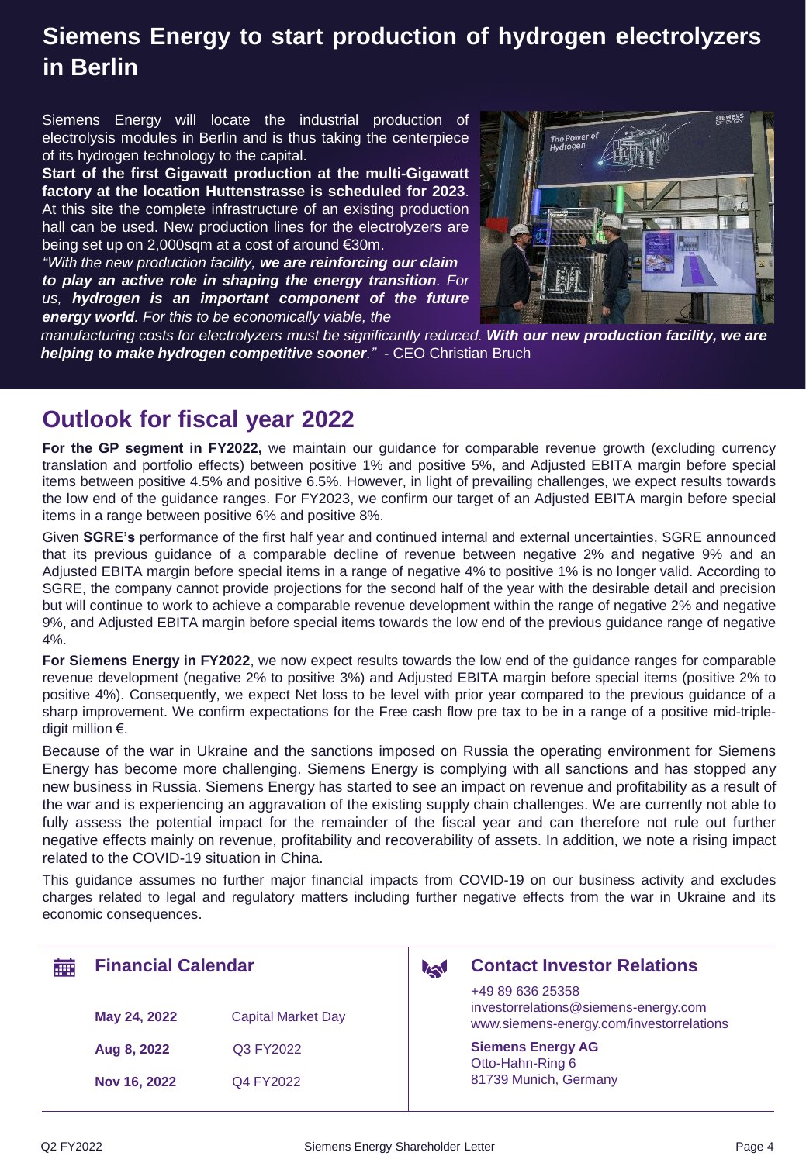### **Siemens Energy to start production of hydrogen electrolyzers in Berlin**

Siemens Energy will locate the industrial production of electrolysis modules in Berlin and is thus taking the centerpiece of its hydrogen technology to the capital.

**Start of the first Gigawatt production at the multi-Gigawatt factory at the location Huttenstrasse is scheduled for 2023**. At this site the complete infrastructure of an existing production hall can be used. New production lines for the electrolyzers are being set up on 2,000sqm at a cost of around €30m.

*"With the new production facility, we are reinforcing our claim to play an active role in shaping the energy transition. For us, hydrogen is an important component of the future energy world. For this to be economically viable, the*



*manufacturing costs for electrolyzers must be significantly reduced. With our new production facility, we are helping to make hydrogen competitive sooner." -* CEO Christian Bruch

#### **Outlook for fiscal year 2022**

**For the GP segment in FY2022,** we maintain our guidance for comparable revenue growth (excluding currency translation and portfolio effects) between positive 1% and positive 5%, and Adjusted EBITA margin before special items between positive 4.5% and positive 6.5%. However, in light of prevailing challenges, we expect results towards the low end of the guidance ranges. For FY2023, we confirm our target of an Adjusted EBITA margin before special items in a range between positive 6% and positive 8%.

Given **SGRE's** performance of the first half year and continued internal and external uncertainties, SGRE announced that its previous guidance of a comparable decline of revenue between negative 2% and negative 9% and an Adjusted EBITA margin before special items in a range of negative 4% to positive 1% is no longer valid. According to SGRE, the company cannot provide projections for the second half of the year with the desirable detail and precision but will continue to work to achieve a comparable revenue development within the range of negative 2% and negative 9%, and Adjusted EBITA margin before special items towards the low end of the previous guidance range of negative 4%.

**For Siemens Energy in FY2022**, we now expect results towards the low end of the guidance ranges for comparable revenue development (negative 2% to positive 3%) and Adjusted EBITA margin before special items (positive 2% to positive 4%). Consequently, we expect Net loss to be level with prior year compared to the previous guidance of a sharp improvement. We confirm expectations for the Free cash flow pre tax to be in a range of a positive mid-tripledigit million €.

Because of the war in Ukraine and the sanctions imposed on Russia the operating environment for Siemens Energy has become more challenging. Siemens Energy is complying with all sanctions and has stopped any new business in Russia. Siemens Energy has started to see an impact on revenue and profitability as a result of the war and is experiencing an aggravation of the existing supply chain challenges. We are currently not able to fully assess the potential impact for the remainder of the fiscal year and can therefore not rule out further negative effects mainly on revenue, profitability and recoverability of assets. In addition, we note a rising impact related to the COVID-19 situation in China.

This guidance assumes no further major financial impacts from COVID-19 on our business activity and excludes charges related to legal and regulatory matters including further negative effects from the war in Ukraine and its economic consequences.

| m | <b>Financial Calendar</b> |                           | <b>IA</b> | <b>Contact Investor Relations</b>                                                                    |
|---|---------------------------|---------------------------|-----------|------------------------------------------------------------------------------------------------------|
|   | May 24, 2022              | <b>Capital Market Day</b> |           | +49 89 636 25358<br>investorrelations@siemens-energy.com<br>www.siemens-energy.com/investorrelations |
|   | Aug 8, 2022               | Q3 FY2022                 |           | <b>Siemens Energy AG</b><br>Otto-Hahn-Ring 6                                                         |
|   | Nov 16, 2022              | Q4 FY2022                 |           | 81739 Munich, Germany                                                                                |